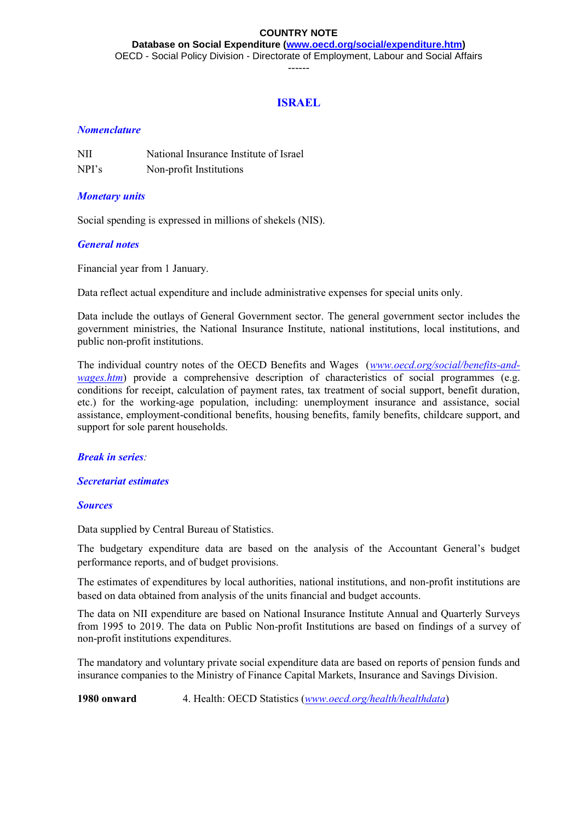#### **COUNTRY NOTE**

**Database on Social Expenditure [\(www.oecd.org/social/expenditure.htm\)](http://www.oecd.org/social/expenditure.htm)** OECD - Social Policy Division - Directorate of Employment, Labour and Social Affairs

------

## **ISRAEL**

### *Nomenclature*

| NII   | National Insurance Institute of Israel |
|-------|----------------------------------------|
| NPI's | Non-profit Institutions                |

#### *Monetary units*

Social spending is expressed in millions of shekels (NIS).

#### *General notes*

Financial year from 1 January.

Data reflect actual expenditure and include administrative expenses for special units only.

Data include the outlays of General Government sector. The general government sector includes the government ministries, the National Insurance Institute, national institutions, local institutions, and public non-profit institutions.

The individual country notes of the OECD Benefits and Wages (*[www.oecd.org/social/benefits-and](http://www.oecd.org/social/benefits-and-wages.htm)[wages.htm](http://www.oecd.org/social/benefits-and-wages.htm)*) provide a comprehensive description of characteristics of social programmes (e.g. conditions for receipt, calculation of payment rates, tax treatment of social support, benefit duration, etc.) for the working-age population, including: unemployment insurance and assistance, social assistance, employment-conditional benefits, housing benefits, family benefits, childcare support, and support for sole parent households.

#### *Break in series:*

#### *Secretariat estimates*

#### *Sources*

Data supplied by Central Bureau of Statistics.

The budgetary expenditure data are based on the analysis of the Accountant General's budget performance reports, and of budget provisions.

The estimates of expenditures by local authorities, national institutions, and non-profit institutions are based on data obtained from analysis of the units financial and budget accounts.

The data on NII expenditure are based on National Insurance Institute Annual and Quarterly Surveys from 1995 to 2019. The data on Public Non-profit Institutions are based on findings of a survey of non-profit institutions expenditures.

The mandatory and voluntary private social expenditure data are based on reports of pension funds and insurance companies to the Ministry of Finance Capital Markets, Insurance and Savings Division.

**1980 onward** 4. Health: OECD Statistics (*[www.oecd.org/health/healthdata](http://www.oecd.org/health/healthdata)*)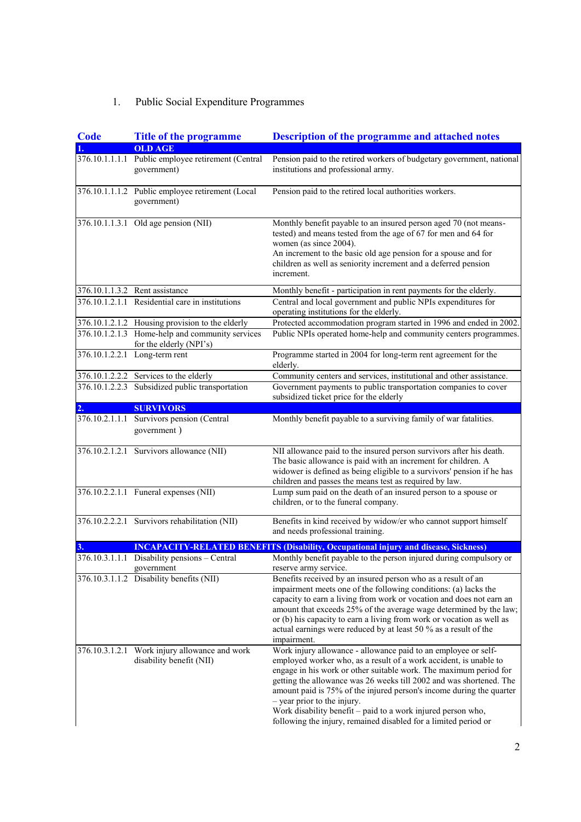# 1. Public Social Expenditure Programmes

| Code | <b>Title of the programme</b>                                                       | <b>Description of the programme and attached notes</b>                                                                                                                                                                                                                                                                                                                                                                                                                                                                    |
|------|-------------------------------------------------------------------------------------|---------------------------------------------------------------------------------------------------------------------------------------------------------------------------------------------------------------------------------------------------------------------------------------------------------------------------------------------------------------------------------------------------------------------------------------------------------------------------------------------------------------------------|
|      | <b>OLD AGE</b><br>376.10.1.1.1.1 Public employee retirement (Central<br>government) | Pension paid to the retired workers of budgetary government, national<br>institutions and professional army.                                                                                                                                                                                                                                                                                                                                                                                                              |
|      | 376.10.1.1.1.2 Public employee retirement (Local<br>government)                     | Pension paid to the retired local authorities workers.                                                                                                                                                                                                                                                                                                                                                                                                                                                                    |
|      | 376.10.1.1.3.1 Old age pension (NII)                                                | Monthly benefit payable to an insured person aged 70 (not means-<br>tested) and means tested from the age of 67 for men and 64 for<br>women (as since 2004).<br>An increment to the basic old age pension for a spouse and for<br>children as well as seniority increment and a deferred pension<br>increment.                                                                                                                                                                                                            |
|      | 376.10.1.1.3.2 Rent assistance                                                      | Monthly benefit - participation in rent payments for the elderly.                                                                                                                                                                                                                                                                                                                                                                                                                                                         |
|      | 376.10.1.2.1.1 Residential care in institutions                                     | Central and local government and public NPIs expenditures for<br>operating institutions for the elderly.                                                                                                                                                                                                                                                                                                                                                                                                                  |
|      | 376.10.1.2.1.2 Housing provision to the elderly                                     | Protected accommodation program started in 1996 and ended in 2002.                                                                                                                                                                                                                                                                                                                                                                                                                                                        |
|      | 376.10.1.2.1.3 Home-help and community services<br>for the elderly (NPI's)          | Public NPIs operated home-help and community centers programmes.                                                                                                                                                                                                                                                                                                                                                                                                                                                          |
|      | 376.10.1.2.2.1 Long-term rent                                                       | Programme started in $2004$ for long-term rent agreement for the<br>elderly.                                                                                                                                                                                                                                                                                                                                                                                                                                              |
|      | 376.10.1.2.2.2 Services to the elderly                                              | Community centers and services, institutional and other assistance.                                                                                                                                                                                                                                                                                                                                                                                                                                                       |
|      | 376.10.1.2.2.3 Subsidized public transportation                                     | Government payments to public transportation companies to cover<br>subsidized ticket price for the elderly                                                                                                                                                                                                                                                                                                                                                                                                                |
| 2.   | <b>SURVIVORS</b>                                                                    |                                                                                                                                                                                                                                                                                                                                                                                                                                                                                                                           |
|      | 376.10.2.1.1.1 Survivors pension (Central<br>government)                            | Monthly benefit payable to a surviving family of war fatalities.                                                                                                                                                                                                                                                                                                                                                                                                                                                          |
|      | 376.10.2.1.2.1 Survivors allowance (NII)                                            | NII allowance paid to the insured person survivors after his death.<br>The basic allowance is paid with an increment for children. A<br>widower is defined as being eligible to a survivors' pension if he has<br>children and passes the means test as required by law.                                                                                                                                                                                                                                                  |
|      | 376.10.2.2.1.1 Funeral expenses (NII)                                               | Lump sum paid on the death of an insured person to a spouse or<br>children, or to the funeral company.                                                                                                                                                                                                                                                                                                                                                                                                                    |
|      | 376.10.2.2.2.1 Survivors rehabilitation (NII)                                       | Benefits in kind received by widow/er who cannot support himself<br>and needs professional training.                                                                                                                                                                                                                                                                                                                                                                                                                      |
| 3.   |                                                                                     | <b>INCAPACITY-RELATED BENEFITS (Disability, Occupational injury and disease, Sickness)</b>                                                                                                                                                                                                                                                                                                                                                                                                                                |
|      | 376.10.3.1.1.1 Disability pensions - Central<br>government                          | Monthly benefit payable to the person injured during compulsory or<br>reserve army service.                                                                                                                                                                                                                                                                                                                                                                                                                               |
|      | 376.10.3.1.1.2 Disability benefits (NII)                                            | Benefits received by an insured person who as a result of an<br>impairment meets one of the following conditions: (a) lacks the<br>capacity to earn a living from work or vocation and does not earn an<br>amount that exceeds 25% of the average wage determined by the law;<br>or (b) his capacity to earn a living from work or vocation as well as<br>actual earnings were reduced by at least 50 % as a result of the<br>impairment.                                                                                 |
|      | 376.10.3.1.2.1 Work injury allowance and work<br>disability benefit (NII)           | Work injury allowance - allowance paid to an employee or self-<br>employed worker who, as a result of a work accident, is unable to<br>engage in his work or other suitable work. The maximum period for<br>getting the allowance was 26 weeks till 2002 and was shortened. The<br>amount paid is 75% of the injured person's income during the quarter<br>- year prior to the injury.<br>Work disability benefit – paid to a work injured person who,<br>following the injury, remained disabled for a limited period or |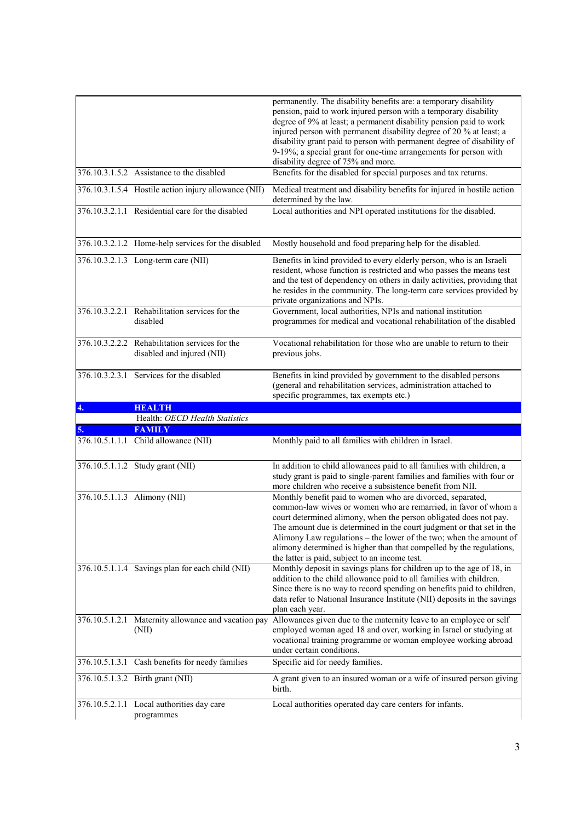|    |                                                                              | permanently. The disability benefits are: a temporary disability<br>pension, paid to work injured person with a temporary disability<br>degree of 9% at least; a permanent disability pension paid to work<br>injured person with permanent disability degree of 20 % at least; a<br>disability grant paid to person with permanent degree of disability of<br>9-19%; a special grant for one-time arrangements for person with                                             |
|----|------------------------------------------------------------------------------|-----------------------------------------------------------------------------------------------------------------------------------------------------------------------------------------------------------------------------------------------------------------------------------------------------------------------------------------------------------------------------------------------------------------------------------------------------------------------------|
|    | 376.10.3.1.5.2 Assistance to the disabled                                    | disability degree of 75% and more.<br>Benefits for the disabled for special purposes and tax returns.                                                                                                                                                                                                                                                                                                                                                                       |
|    |                                                                              |                                                                                                                                                                                                                                                                                                                                                                                                                                                                             |
|    | 376.10.3.1.5.4 Hostile action injury allowance (NII)                         | Medical treatment and disability benefits for injured in hostile action<br>determined by the law.                                                                                                                                                                                                                                                                                                                                                                           |
|    | 376.10.3.2.1.1 Residential care for the disabled                             | Local authorities and NPI operated institutions for the disabled.                                                                                                                                                                                                                                                                                                                                                                                                           |
|    | 376.10.3.2.1.2 Home-help services for the disabled                           | Mostly household and food preparing help for the disabled.                                                                                                                                                                                                                                                                                                                                                                                                                  |
|    | 376.10.3.2.1.3 Long-term care (NII)                                          | Benefits in kind provided to every elderly person, who is an Israeli<br>resident, whose function is restricted and who passes the means test<br>and the test of dependency on others in daily activities, providing that<br>he resides in the community. The long-term care services provided by<br>private organizations and NPIs.                                                                                                                                         |
|    | 376.10.3.2.2.1 Rehabilitation services for the<br>disabled                   | Government, local authorities, NPIs and national institution<br>programmes for medical and vocational rehabilitation of the disabled                                                                                                                                                                                                                                                                                                                                        |
|    | 376.10.3.2.2.2 Rehabilitation services for the<br>disabled and injured (NII) | Vocational rehabilitation for those who are unable to return to their<br>previous jobs.                                                                                                                                                                                                                                                                                                                                                                                     |
|    | 376.10.3.2.3.1 Services for the disabled                                     | Benefits in kind provided by government to the disabled persons<br>(general and rehabilitation services, administration attached to<br>specific programmes, tax exempts etc.)                                                                                                                                                                                                                                                                                               |
|    |                                                                              |                                                                                                                                                                                                                                                                                                                                                                                                                                                                             |
| 4. | <b>HEALTH</b>                                                                |                                                                                                                                                                                                                                                                                                                                                                                                                                                                             |
|    | Health: OECD Health Statistics                                               |                                                                                                                                                                                                                                                                                                                                                                                                                                                                             |
|    | <b>FAMILY</b>                                                                |                                                                                                                                                                                                                                                                                                                                                                                                                                                                             |
|    | 376.10.5.1.1.1 Child allowance (NII)                                         | Monthly paid to all families with children in Israel.                                                                                                                                                                                                                                                                                                                                                                                                                       |
|    | 376.10.5.1.1.2 Study grant (NII)                                             | In addition to child allowances paid to all families with children, a<br>study grant is paid to single-parent families and families with four or<br>more children who receive a subsistence benefit from NII.                                                                                                                                                                                                                                                               |
|    | 376.10.5.1.1.3 Alimony (NII)                                                 | Monthly benefit paid to women who are divorced, separated,<br>common-law wives or women who are remarried, in favor of whom a<br>court determined alimony, when the person obligated does not pay.<br>The amount due is determined in the court judgment or that set in the<br>Alimony Law regulations - the lower of the two; when the amount of<br>alimony determined is higher than that compelled by the regulations,<br>the latter is paid, subject to an income test. |
|    | 376.10.5.1.1.4 Savings plan for each child (NII)                             | Monthly deposit in savings plans for children up to the age of 18, in<br>addition to the child allowance paid to all families with children.<br>Since there is no way to record spending on benefits paid to children,<br>data refer to National Insurance Institute (NII) deposits in the savings<br>plan each year.                                                                                                                                                       |
|    | 376.10.5.1.2.1 Maternity allowance and vacation pay<br>(NII)                 | Allowances given due to the maternity leave to an employee or self<br>employed woman aged 18 and over, working in Israel or studying at<br>vocational training programme or woman employee working abroad<br>under certain conditions.                                                                                                                                                                                                                                      |
|    | 376.10.5.1.3.1 Cash benefits for needy families                              | Specific aid for needy families.                                                                                                                                                                                                                                                                                                                                                                                                                                            |
|    | 376.10.5.1.3.2 Birth grant (NII)                                             | A grant given to an insured woman or a wife of insured person giving<br>birth.                                                                                                                                                                                                                                                                                                                                                                                              |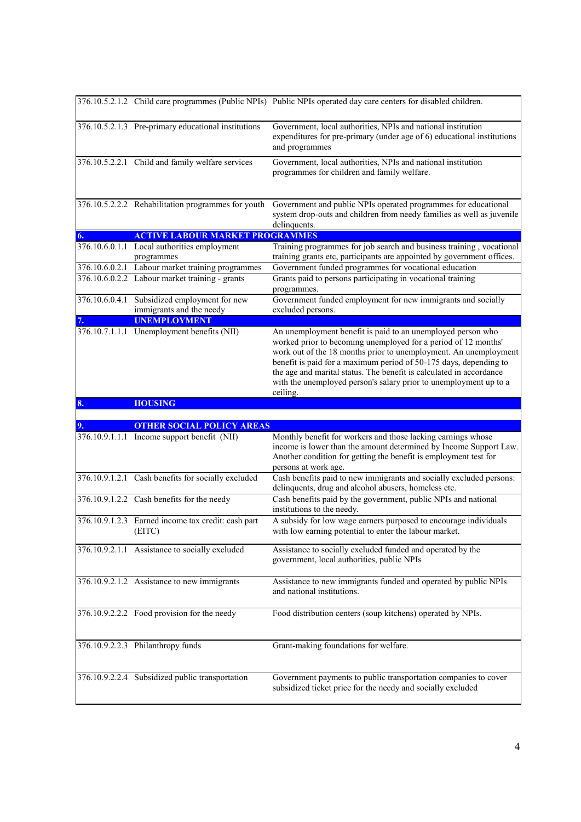|              |                                                                          | 376.10.5.2.1.2 Child care programmes (Public NPIs) Public NPIs operated day care centers for disabled children.                                                                                                                                                                                                                                                                                                                |
|--------------|--------------------------------------------------------------------------|--------------------------------------------------------------------------------------------------------------------------------------------------------------------------------------------------------------------------------------------------------------------------------------------------------------------------------------------------------------------------------------------------------------------------------|
|              | 376.10.5.2.1.3 Pre-primary educational institutions                      | Government, local authorities, NPIs and national institution<br>expenditures for pre-primary (under age of 6) educational institutions<br>and programmes                                                                                                                                                                                                                                                                       |
|              | 376.10.5.2.2.1 Child and family welfare services                         | Government, local authorities, NPIs and national institution<br>programmes for children and family welfare.                                                                                                                                                                                                                                                                                                                    |
|              | 376.10.5.2.2.2 Rehabilitation programmes for youth                       | Government and public NPIs operated programmes for educational<br>system drop-outs and children from needy families as well as juvenile<br>delinquents.                                                                                                                                                                                                                                                                        |
| $\mathbf{6}$ | <b>ACTIVE LABOUR MARKET PROGRAMMES</b>                                   |                                                                                                                                                                                                                                                                                                                                                                                                                                |
|              | 376.10.6.0.1.1 Local authorities employment<br>programmes                | Training programmes for job search and business training, vocational<br>training grants etc, participants are appointed by government offices.                                                                                                                                                                                                                                                                                 |
|              | 376.10.6.0.2.1 Labour market training programmes                         | Government funded programmes for vocational education                                                                                                                                                                                                                                                                                                                                                                          |
|              | 376.10.6.0.2.2 Labour market training - grants                           | Grants paid to persons participating in vocational training<br>programmes.                                                                                                                                                                                                                                                                                                                                                     |
|              | 376.10.6.0.4.1 Subsidized employment for new<br>immigrants and the needy | Government funded employment for new immigrants and socially<br>excluded persons.                                                                                                                                                                                                                                                                                                                                              |
|              | <b>UNEMPLOYMENT</b>                                                      |                                                                                                                                                                                                                                                                                                                                                                                                                                |
|              | 376.10.7.1.1.1 Unemployment benefits (NII)                               | An unemployment benefit is paid to an unemployed person who<br>worked prior to becoming unemployed for a period of 12 months'<br>work out of the 18 months prior to unemployment. An unemployment<br>benefit is paid for a maximum period of 50-175 days, depending to<br>the age and marital status. The benefit is calculated in accordance<br>with the unemployed person's salary prior to unemployment up to a<br>ceiling. |
|              |                                                                          |                                                                                                                                                                                                                                                                                                                                                                                                                                |
| 8.           |                                                                          |                                                                                                                                                                                                                                                                                                                                                                                                                                |
|              | <b>HOUSING</b>                                                           |                                                                                                                                                                                                                                                                                                                                                                                                                                |
|              | <b>OTHER SOCIAL POLICY AREAS</b>                                         |                                                                                                                                                                                                                                                                                                                                                                                                                                |
|              | 376.10.9.1.1.1 Income support benefit (NII)                              | Monthly benefit for workers and those lacking earnings whose<br>income is lower than the amount determined by Income Support Law.<br>Another condition for getting the benefit is employment test for<br>persons at work age.                                                                                                                                                                                                  |
|              | 376.10.9.1.2.1 Cash benefits for socially excluded                       | Cash benefits paid to new immigrants and socially excluded persons:<br>delinquents, drug and alcohol abusers, homeless etc.                                                                                                                                                                                                                                                                                                    |
|              | 376.10.9.1.2.2 Cash benefits for the needy                               | Cash benefits paid by the government, public NPIs and national<br>institutions to the needy.                                                                                                                                                                                                                                                                                                                                   |
|              | 376.10.9.1.2.3 Earned income tax credit: cash part<br>(EITC)             | A subsidy for low wage earners purposed to encourage individuals<br>with low earning potential to enter the labour market.                                                                                                                                                                                                                                                                                                     |
|              | 376.10.9.2.1.1 Assistance to socially excluded                           | Assistance to socially excluded funded and operated by the<br>government, local authorities, public NPIs                                                                                                                                                                                                                                                                                                                       |
|              | 376.10.9.2.1.2 Assistance to new immigrants                              | Assistance to new immigrants funded and operated by public NPIs<br>and national institutions.                                                                                                                                                                                                                                                                                                                                  |
|              | 376.10.9.2.2.2 Food provision for the needy                              | Food distribution centers (soup kitchens) operated by NPIs.                                                                                                                                                                                                                                                                                                                                                                    |
|              | 376.10.9.2.2.3 Philanthropy funds                                        | Grant-making foundations for welfare.                                                                                                                                                                                                                                                                                                                                                                                          |